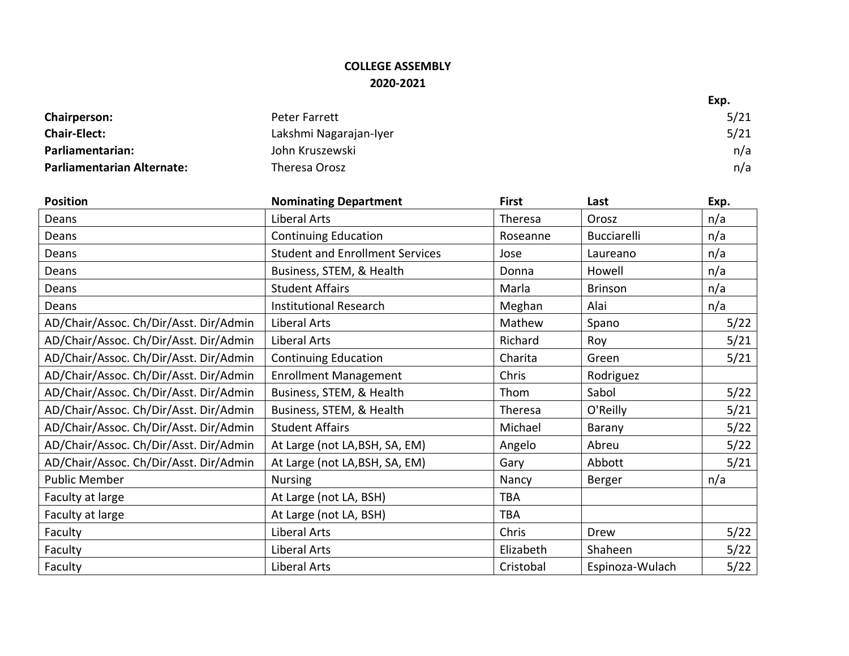## **COLLEGE ASSEMBLY 2020-2021**

|                                   |                        | Exp. |
|-----------------------------------|------------------------|------|
| <b>Chairperson:</b>               | Peter Farrett          | 5/21 |
| <b>Chair-Elect:</b>               | Lakshmi Nagarajan-Iyer | 5/21 |
| Parliamentarian:                  | John Kruszewski        | n/a  |
| <b>Parliamentarian Alternate:</b> | Theresa Orosz          | n/a  |

| <b>Position</b>                        | <b>Nominating Department</b>           | <b>First</b> | Last            | Exp. |
|----------------------------------------|----------------------------------------|--------------|-----------------|------|
| Deans                                  | Liberal Arts                           | Theresa      | Orosz           | n/a  |
| Deans                                  | <b>Continuing Education</b>            | Roseanne     | Bucciarelli     | n/a  |
| Deans                                  | <b>Student and Enrollment Services</b> | Jose         | Laureano        | n/a  |
| Deans                                  | Business, STEM, & Health               | Donna        | Howell          | n/a  |
| Deans                                  | <b>Student Affairs</b>                 | Marla        | <b>Brinson</b>  | n/a  |
| Deans                                  | <b>Institutional Research</b>          | Meghan       | Alai            | n/a  |
| AD/Chair/Assoc. Ch/Dir/Asst. Dir/Admin | Liberal Arts                           | Mathew       | Spano           | 5/22 |
| AD/Chair/Assoc. Ch/Dir/Asst. Dir/Admin | Liberal Arts                           | Richard      | Roy             | 5/21 |
| AD/Chair/Assoc. Ch/Dir/Asst. Dir/Admin | <b>Continuing Education</b>            | Charita      | Green           | 5/21 |
| AD/Chair/Assoc. Ch/Dir/Asst. Dir/Admin | <b>Enrollment Management</b>           | Chris        | Rodriguez       |      |
| AD/Chair/Assoc. Ch/Dir/Asst. Dir/Admin | Business, STEM, & Health               | Thom         | Sabol           | 5/22 |
| AD/Chair/Assoc. Ch/Dir/Asst. Dir/Admin | Business, STEM, & Health               | Theresa      | O'Reilly        | 5/21 |
| AD/Chair/Assoc. Ch/Dir/Asst. Dir/Admin | <b>Student Affairs</b>                 | Michael      | Barany          | 5/22 |
| AD/Chair/Assoc. Ch/Dir/Asst. Dir/Admin | At Large (not LA, BSH, SA, EM)         | Angelo       | Abreu           | 5/22 |
| AD/Chair/Assoc. Ch/Dir/Asst. Dir/Admin | At Large (not LA, BSH, SA, EM)         | Gary         | Abbott          | 5/21 |
| <b>Public Member</b>                   | <b>Nursing</b>                         | Nancy        | Berger          | n/a  |
| Faculty at large                       | At Large (not LA, BSH)                 | <b>TBA</b>   |                 |      |
| Faculty at large                       | At Large (not LA, BSH)                 | <b>TBA</b>   |                 |      |
| Faculty                                | Liberal Arts                           | Chris        | Drew            | 5/22 |
| Faculty                                | Liberal Arts                           | Elizabeth    | Shaheen         | 5/22 |
| Faculty                                | Liberal Arts                           | Cristobal    | Espinoza-Wulach | 5/22 |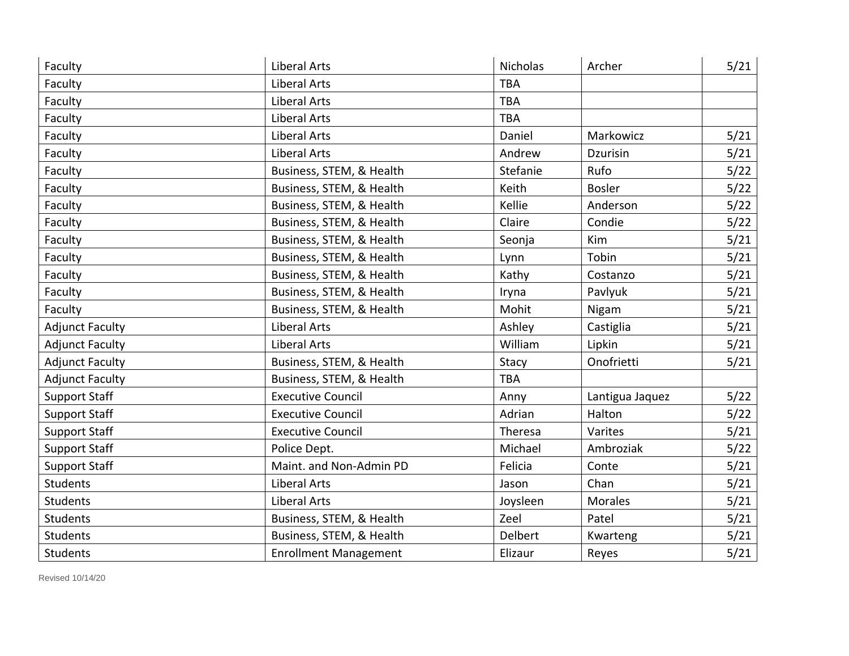| Faculty                | <b>Liberal Arts</b>          | Nicholas   | Archer          | 5/21 |
|------------------------|------------------------------|------------|-----------------|------|
| Faculty                | <b>Liberal Arts</b>          | <b>TBA</b> |                 |      |
| Faculty                | <b>Liberal Arts</b>          | <b>TBA</b> |                 |      |
| Faculty                | Liberal Arts                 | <b>TBA</b> |                 |      |
| Faculty                | <b>Liberal Arts</b>          | Daniel     | Markowicz       | 5/21 |
| Faculty                | Liberal Arts                 | Andrew     | Dzurisin        | 5/21 |
| Faculty                | Business, STEM, & Health     | Stefanie   | Rufo            | 5/22 |
| Faculty                | Business, STEM, & Health     | Keith      | <b>Bosler</b>   | 5/22 |
| Faculty                | Business, STEM, & Health     | Kellie     | Anderson        | 5/22 |
| Faculty                | Business, STEM, & Health     | Claire     | Condie          | 5/22 |
| Faculty                | Business, STEM, & Health     | Seonja     | Kim             | 5/21 |
| Faculty                | Business, STEM, & Health     | Lynn       | Tobin           | 5/21 |
| Faculty                | Business, STEM, & Health     | Kathy      | Costanzo        | 5/21 |
| Faculty                | Business, STEM, & Health     | Iryna      | Pavlyuk         | 5/21 |
| Faculty                | Business, STEM, & Health     | Mohit      | Nigam           | 5/21 |
| <b>Adjunct Faculty</b> | <b>Liberal Arts</b>          | Ashley     | Castiglia       | 5/21 |
| <b>Adjunct Faculty</b> | Liberal Arts                 | William    | Lipkin          | 5/21 |
| <b>Adjunct Faculty</b> | Business, STEM, & Health     | Stacy      | Onofrietti      | 5/21 |
| <b>Adjunct Faculty</b> | Business, STEM, & Health     | <b>TBA</b> |                 |      |
| <b>Support Staff</b>   | <b>Executive Council</b>     | Anny       | Lantigua Jaquez | 5/22 |
| <b>Support Staff</b>   | <b>Executive Council</b>     | Adrian     | Halton          | 5/22 |
| <b>Support Staff</b>   | <b>Executive Council</b>     | Theresa    | Varites         | 5/21 |
| <b>Support Staff</b>   | Police Dept.                 | Michael    | Ambroziak       | 5/22 |
| <b>Support Staff</b>   | Maint. and Non-Admin PD      | Felicia    | Conte           | 5/21 |
| <b>Students</b>        | Liberal Arts                 | Jason      | Chan            | 5/21 |
| <b>Students</b>        | Liberal Arts                 | Joysleen   | <b>Morales</b>  | 5/21 |
| <b>Students</b>        | Business, STEM, & Health     | Zeel       | Patel           | 5/21 |
| <b>Students</b>        | Business, STEM, & Health     | Delbert    | Kwarteng        | 5/21 |
| <b>Students</b>        | <b>Enrollment Management</b> | Elizaur    | Reyes           | 5/21 |

Revised 10/14/20